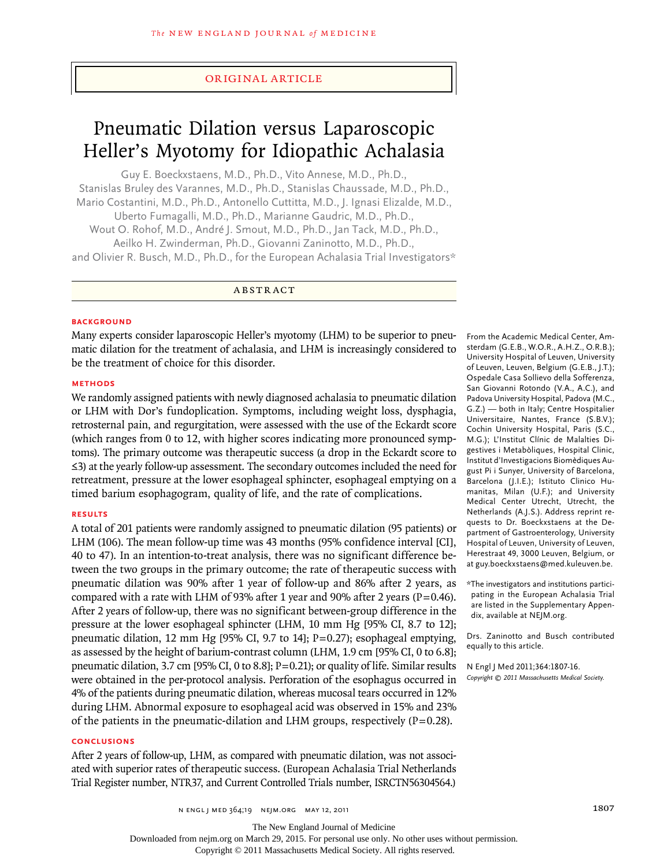# original article

# Pneumatic Dilation versus Laparoscopic Heller's Myotomy for Idiopathic Achalasia

Guy E. Boeckxstaens, M.D., Ph.D., Vito Annese, M.D., Ph.D., Stanislas Bruley des Varannes, M.D., Ph.D., Stanislas Chaussade, M.D., Ph.D., Mario Costantini, M.D., Ph.D., Antonello Cuttitta, M.D., J. Ignasi Elizalde, M.D., Uberto Fumagalli, M.D., Ph.D., Marianne Gaudric, M.D., Ph.D., Wout O. Rohof, M.D., André J. Smout, M.D., Ph.D., Jan Tack, M.D., Ph.D., Aeilko H. Zwinderman, Ph.D., Giovanni Zaninotto, M.D., Ph.D., and Olivier R. Busch, M.D., Ph.D., for the European Achalasia Trial Investigators\*

A BSTRACT

## **BACKGROUND**

Many experts consider laparoscopic Heller's myotomy (LHM) to be superior to pneumatic dilation for the treatment of achalasia, and LHM is increasingly considered to be the treatment of choice for this disorder.

## **Methods**

We randomly assigned patients with newly diagnosed achalasia to pneumatic dilation or LHM with Dor's fundoplication. Symptoms, including weight loss, dysphagia, retrosternal pain, and regurgitation, were assessed with the use of the Eckardt score (which ranges from 0 to 12, with higher scores indicating more pronounced symptoms). The primary outcome was therapeutic success (a drop in the Eckardt score to ≤3) at the yearly follow-up assessment. The secondary outcomes included the need for retreatment, pressure at the lower esophageal sphincter, esophageal emptying on a timed barium esophagogram, quality of life, and the rate of complications.

## **Results**

A total of 201 patients were randomly assigned to pneumatic dilation (95 patients) or LHM (106). The mean follow-up time was 43 months (95% confidence interval [CI], 40 to 47). In an intention-to-treat analysis, there was no significant difference between the two groups in the primary outcome; the rate of therapeutic success with pneumatic dilation was 90% after 1 year of follow-up and 86% after 2 years, as compared with a rate with LHM of 93% after 1 year and 90% after 2 years ( $P=0.46$ ). After 2 years of follow-up, there was no significant between-group difference in the pressure at the lower esophageal sphincter (LHM, 10 mm Hg [95% CI, 8.7 to 12]; pneumatic dilation, 12 mm Hg  $[95\% \text{ CI}, 9.7 \text{ to } 14]$ ; P=0.27); esophageal emptying, as assessed by the height of barium-contrast column (LHM, 1.9 cm [95% CI, 0 to 6.8]; pneumatic dilation, 3.7 cm [95% CI, 0 to 8.8];  $P=0.21$ ); or quality of life. Similar results were obtained in the per-protocol analysis. Perforation of the esophagus occurred in 4% of the patients during pneumatic dilation, whereas mucosal tears occurred in 12% during LHM. Abnormal exposure to esophageal acid was observed in 15% and 23% of the patients in the pneumatic-dilation and LHM groups, respectively ( $P=0.28$ ).

# **Conclusions**

After 2 years of follow-up, LHM, as compared with pneumatic dilation, was not associated with superior rates of therapeutic success. (European Achalasia Trial Netherlands Trial Register number, NTR37, and Current Controlled Trials number, ISRCTN56304564.)

From the Academic Medical Center, Amsterdam (G.E.B., W.O.R., A.H.Z., O.R.B.); University Hospital of Leuven, University of Leuven, Leuven, Belgium (G.E.B., J.T.); Ospedale Casa Sollievo della Sofferenza, San Giovanni Rotondo (V.A., A.C.), and Padova University Hospital, Padova (M.C., G.Z.) — both in Italy; Centre Hospitalier Universitaire, Nantes, France (S.B.V.); Cochin University Hospital, Paris (S.C., M.G.); L'Institut Clínic de Malalties Digestives i Metabòliques, Hospital Clinic, Institut d'Investigacions Biomèdiques August Pi i Sunyer, University of Barcelona, Barcelona (J.I.E.); Istituto Clinico Humanitas, Milan (U.F.); and University Medical Center Utrecht, Utrecht, the Netherlands (A.J.S.). Address reprint requests to Dr. Boeckxstaens at the Department of Gastroenterology, University Hospital of Leuven, University of Leuven, Herestraat 49, 3000 Leuven, Belgium, or at guy.boeckxstaens@med.kuleuven.be.

\*The investigators and institutions participating in the European Achalasia Trial are listed in the Supplementary Appendix, available at NEJM.org.

Drs. Zaninotto and Busch contributed equally to this article.

N Engl J Med 2011;364:1807-16. *Copyright © 2011 Massachusetts Medical Society.*

The New England Journal of Medicine

Downloaded from nejm.org on March 29, 2015. For personal use only. No other uses without permission.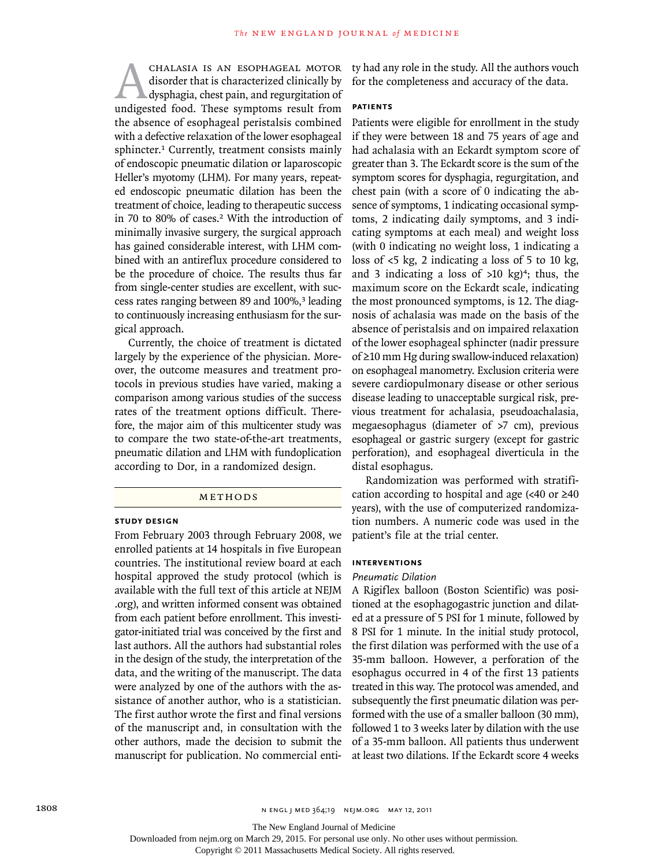Achalasia is an esophageal motor undigested food. These symptoms result from disorder that is characterized clinically by dysphagia, chest pain, and regurgitation of the absence of esophageal peristalsis combined with a defective relaxation of the lower esophageal sphincter.<sup>1</sup> Currently, treatment consists mainly of endoscopic pneumatic dilation or laparoscopic Heller's myotomy (LHM). For many years, repeated endoscopic pneumatic dilation has been the treatment of choice, leading to therapeutic success in 70 to 80% of cases.2 With the introduction of minimally invasive surgery, the surgical approach has gained considerable interest, with LHM combined with an antireflux procedure considered to be the procedure of choice. The results thus far from single-center studies are excellent, with success rates ranging between 89 and 100%,<sup>3</sup> leading to continuously increasing enthusiasm for the surgical approach.

Currently, the choice of treatment is dictated largely by the experience of the physician. Moreover, the outcome measures and treatment protocols in previous studies have varied, making a comparison among various studies of the success rates of the treatment options difficult. Therefore, the major aim of this multicenter study was to compare the two state-of-the-art treatments, pneumatic dilation and LHM with fundoplication according to Dor, in a randomized design.

## METHODS

## **Study Design**

From February 2003 through February 2008, we enrolled patients at 14 hospitals in five European countries. The institutional review board at each hospital approved the study protocol (which is available with the full text of this article at NEJM .org), and written informed consent was obtained from each patient before enrollment. This investigator-initiated trial was conceived by the first and last authors. All the authors had substantial roles in the design of the study, the interpretation of the data, and the writing of the manuscript. The data were analyzed by one of the authors with the assistance of another author, who is a statistician. The first author wrote the first and final versions of the manuscript and, in consultation with the other authors, made the decision to submit the manuscript for publication. No commercial entity had any role in the study. All the authors vouch for the completeness and accuracy of the data.

## **Patients**

Patients were eligible for enrollment in the study if they were between 18 and 75 years of age and had achalasia with an Eckardt symptom score of greater than 3. The Eckardt score is the sum of the symptom scores for dysphagia, regurgitation, and chest pain (with a score of 0 indicating the absence of symptoms, 1 indicating occasional symptoms, 2 indicating daily symptoms, and 3 indicating symptoms at each meal) and weight loss (with 0 indicating no weight loss, 1 indicating a loss of  $\lt$ 5 kg, 2 indicating a loss of 5 to 10 kg, and 3 indicating a loss of  $>10$  kg $)$ <sup>4</sup>; thus, the maximum score on the Eckardt scale, indicating the most pronounced symptoms, is 12. The diagnosis of achalasia was made on the basis of the absence of peristalsis and on impaired relaxation of the lower esophageal sphincter (nadir pressure of ≥10 mm Hg during swallow-induced relaxation) on esophageal manometry. Exclusion criteria were severe cardiopulmonary disease or other serious disease leading to unacceptable surgical risk, previous treatment for achalasia, pseudoachalasia, megaesophagus (diameter of >7 cm), previous esophageal or gastric surgery (except for gastric perforation), and esophageal diverticula in the distal esophagus.

Randomization was performed with stratification according to hospital and age (<40 or ≥40 years), with the use of computerized randomization numbers. A numeric code was used in the patient's file at the trial center.

# **Interventions**

## *Pneumatic Dilation*

A Rigiflex balloon (Boston Scientific) was positioned at the esophagogastric junction and dilated at a pressure of 5 PSI for 1 minute, followed by 8 PSI for 1 minute. In the initial study protocol, the first dilation was performed with the use of a 35-mm balloon. However, a perforation of the esophagus occurred in 4 of the first 13 patients treated in this way. The protocol was amended, and subsequently the first pneumatic dilation was performed with the use of a smaller balloon (30 mm), followed 1 to 3 weeks later by dilation with the use of a 35-mm balloon. All patients thus underwent at least two dilations. If the Eckardt score 4 weeks

The New England Journal of Medicine

Downloaded from nejm.org on March 29, 2015. For personal use only. No other uses without permission.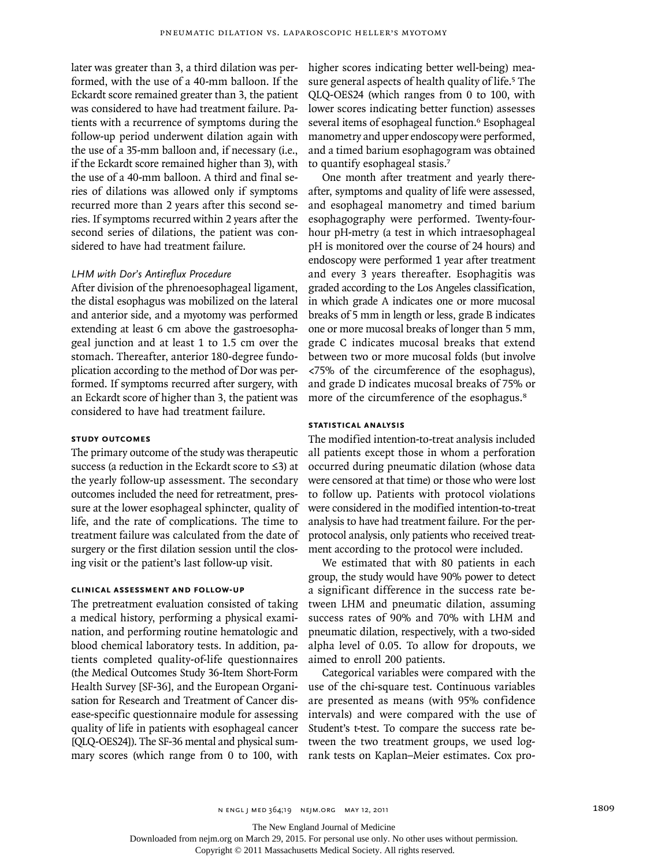later was greater than 3, a third dilation was performed, with the use of a 40-mm balloon. If the Eckardt score remained greater than 3, the patient was considered to have had treatment failure. Patients with a recurrence of symptoms during the follow-up period underwent dilation again with the use of a 35-mm balloon and, if necessary (i.e., if the Eckardt score remained higher than 3), with the use of a 40-mm balloon. A third and final series of dilations was allowed only if symptoms recurred more than 2 years after this second series. If symptoms recurred within 2 years after the second series of dilations, the patient was considered to have had treatment failure.

## *LHM with Dor's Antireflux Procedure*

After division of the phrenoesophageal ligament, the distal esophagus was mobilized on the lateral and anterior side, and a myotomy was performed extending at least 6 cm above the gastroesophageal junction and at least 1 to 1.5 cm over the stomach. Thereafter, anterior 180-degree fundoplication according to the method of Dor was performed. If symptoms recurred after surgery, with an Eckardt score of higher than 3, the patient was considered to have had treatment failure.

# **Study Outcomes**

The primary outcome of the study was therapeutic success (a reduction in the Eckardt score to ≤3) at the yearly follow-up assessment. The secondary outcomes included the need for retreatment, pressure at the lower esophageal sphincter, quality of life, and the rate of complications. The time to treatment failure was calculated from the date of surgery or the first dilation session until the closing visit or the patient's last follow-up visit.

## **Clinical Assessment and Follow-up**

The pretreatment evaluation consisted of taking a medical history, performing a physical examination, and performing routine hematologic and blood chemical laboratory tests. In addition, patients completed quality-of-life questionnaires (the Medical Outcomes Study 36-Item Short-Form Health Survey [SF-36], and the European Organisation for Research and Treatment of Cancer disease-specific questionnaire module for assessing quality of life in patients with esophageal cancer [QLQ-OES24]). The SF-36 mental and physical summary scores (which range from 0 to 100, with

higher scores indicating better well-being) measure general aspects of health quality of life.<sup>5</sup> The QLQ-OES24 (which ranges from 0 to 100, with lower scores indicating better function) assesses several items of esophageal function.<sup>6</sup> Esophageal manometry and upper endoscopy were performed, and a timed barium esophagogram was obtained to quantify esophageal stasis.<sup>7</sup>

One month after treatment and yearly thereafter, symptoms and quality of life were assessed, and esophageal manometry and timed barium esophagography were performed. Twenty-fourhour pH-metry (a test in which intraesophageal pH is monitored over the course of 24 hours) and endoscopy were performed 1 year after treatment and every 3 years thereafter. Esophagitis was graded according to the Los Angeles classification, in which grade A indicates one or more mucosal breaks of 5 mm in length or less, grade B indicates one or more mucosal breaks of longer than 5 mm, grade C indicates mucosal breaks that extend between two or more mucosal folds (but involve <75% of the circumference of the esophagus), and grade D indicates mucosal breaks of 75% or more of the circumference of the esophagus.<sup>8</sup>

# **Statistical Analysis**

The modified intention-to-treat analysis included all patients except those in whom a perforation occurred during pneumatic dilation (whose data were censored at that time) or those who were lost to follow up. Patients with protocol violations were considered in the modified intention-to-treat analysis to have had treatment failure. For the perprotocol analysis, only patients who received treatment according to the protocol were included.

We estimated that with 80 patients in each group, the study would have 90% power to detect a significant difference in the success rate between LHM and pneumatic dilation, assuming success rates of 90% and 70% with LHM and pneumatic dilation, respectively, with a two-sided alpha level of 0.05. To allow for dropouts, we aimed to enroll 200 patients.

Categorical variables were compared with the use of the chi-square test. Continuous variables are presented as means (with 95% confidence intervals) and were compared with the use of Student's t-test. To compare the success rate between the two treatment groups, we used logrank tests on Kaplan–Meier estimates. Cox pro-

The New England Journal of Medicine

Downloaded from nejm.org on March 29, 2015. For personal use only. No other uses without permission.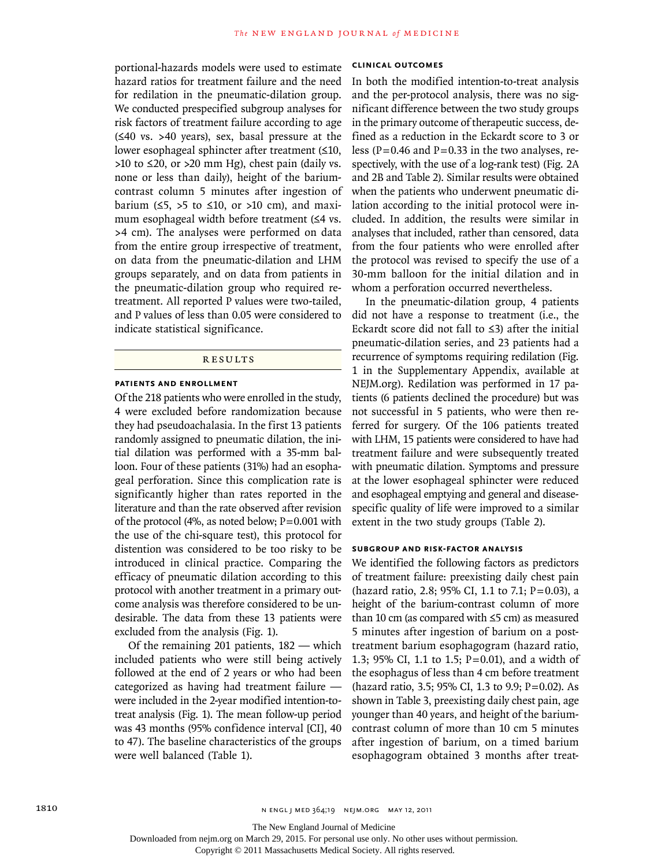portional-hazards models were used to estimate hazard ratios for treatment failure and the need for redilation in the pneumatic-dilation group. We conducted prespecified subgroup analyses for risk factors of treatment failure according to age (≤40 vs. >40 years), sex, basal pressure at the lower esophageal sphincter after treatment (≤10,  $>10$  to  $\leq$  20, or  $>20$  mm Hg), chest pain (daily vs. none or less than daily), height of the bariumcontrast column 5 minutes after ingestion of barium  $(5, >5$  to  $\leq 10$ , or  $>10$  cm), and maximum esophageal width before treatment (≤4 vs. >4 cm). The analyses were performed on data from the entire group irrespective of treatment, on data from the pneumatic-dilation and LHM groups separately, and on data from patients in the pneumatic-dilation group who required retreatment. All reported P values were two-tailed, and P values of less than 0.05 were considered to indicate statistical significance.

## R esult s

## **Patients and Enrollment**

Of the 218 patients who were enrolled in the study, 4 were excluded before randomization because they had pseudoachalasia. In the first 13 patients randomly assigned to pneumatic dilation, the initial dilation was performed with a 35-mm balloon. Four of these patients (31%) had an esophageal perforation. Since this complication rate is significantly higher than rates reported in the literature and than the rate observed after revision of the protocol (4%, as noted below;  $P=0.001$  with the use of the chi-square test), this protocol for distention was considered to be too risky to be introduced in clinical practice. Comparing the efficacy of pneumatic dilation according to this protocol with another treatment in a primary outcome analysis was therefore considered to be undesirable. The data from these 13 patients were excluded from the analysis (Fig. 1).

Of the remaining 201 patients, 182 — which included patients who were still being actively followed at the end of 2 years or who had been categorized as having had treatment failure were included in the 2-year modified intention-totreat analysis (Fig. 1). The mean follow-up period was 43 months (95% confidence interval [CI], 40 to 47). The baseline characteristics of the groups were well balanced (Table 1).

# **Clinical Outcomes**

In both the modified intention-to-treat analysis and the per-protocol analysis, there was no significant difference between the two study groups in the primary outcome of therapeutic success, defined as a reduction in the Eckardt score to 3 or less ( $P = 0.46$  and  $P = 0.33$  in the two analyses, respectively, with the use of a log-rank test) (Fig. 2A and 2B and Table 2). Similar results were obtained when the patients who underwent pneumatic dilation according to the initial protocol were included. In addition, the results were similar in analyses that included, rather than censored, data from the four patients who were enrolled after the protocol was revised to specify the use of a 30-mm balloon for the initial dilation and in whom a perforation occurred nevertheless.

In the pneumatic-dilation group, 4 patients did not have a response to treatment (i.e., the Eckardt score did not fall to ≤3) after the initial pneumatic-dilation series, and 23 patients had a recurrence of symptoms requiring redilation (Fig. 1 in the Supplementary Appendix, available at NEJM.org). Redilation was performed in 17 patients (6 patients declined the procedure) but was not successful in 5 patients, who were then referred for surgery. Of the 106 patients treated with LHM, 15 patients were considered to have had treatment failure and were subsequently treated with pneumatic dilation. Symptoms and pressure at the lower esophageal sphincter were reduced and esophageal emptying and general and diseasespecific quality of life were improved to a similar extent in the two study groups (Table 2).

## **Subgroup and Risk-Factor Analysis**

We identified the following factors as predictors of treatment failure: preexisting daily chest pain (hazard ratio, 2.8; 95% CI, 1.1 to 7.1; P=0.03), a height of the barium-contrast column of more than 10 cm (as compared with  $\leq$ 5 cm) as measured 5 minutes after ingestion of barium on a posttreatment barium esophagogram (hazard ratio, 1.3; 95% CI, 1.1 to 1.5; P=0.01), and a width of the esophagus of less than 4 cm before treatment (hazard ratio, 3.5; 95% CI, 1.3 to 9.9; P=0.02). As shown in Table 3, preexisting daily chest pain, age younger than 40 years, and height of the bariumcontrast column of more than 10 cm 5 minutes after ingestion of barium, on a timed barium esophagogram obtained 3 months after treat-

The New England Journal of Medicine

Downloaded from nejm.org on March 29, 2015. For personal use only. No other uses without permission.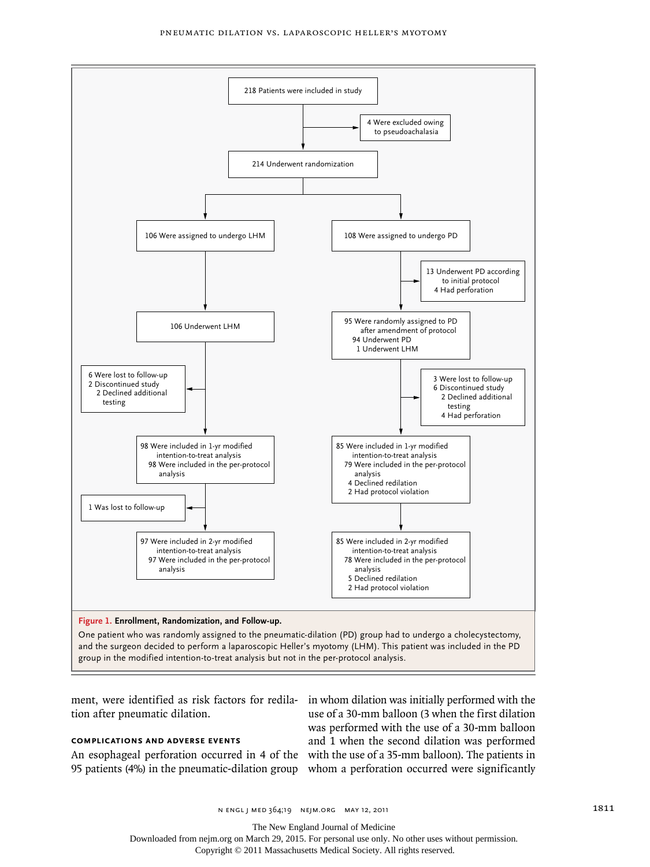

tion after pneumatic dilation.

# **Complications and Adverse Events**

An esophageal perforation occurred in 4 of the with the use of a 35-mm balloon). The patients in 95 patients (4%) in the pneumatic-dilation group whom a perforation occurred were significantly

ment, were identified as risk factors for redila-in whom dilation was initially performed with the use of a 30-mm balloon (3 when the first dilation was performed with the use of a 30-mm balloon and 1 when the second dilation was performed

The New England Journal of Medicine

Downloaded from nejm.org on March 29, 2015. For personal use only. No other uses without permission.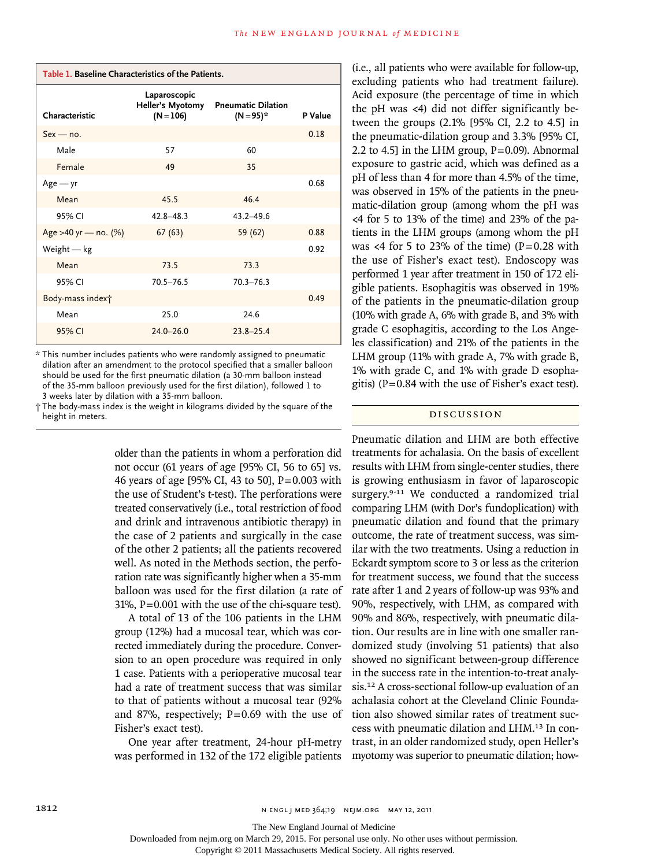| Table 1. Baseline Characteristics of the Patients. |                                                 |                                           |         |  |  |
|----------------------------------------------------|-------------------------------------------------|-------------------------------------------|---------|--|--|
| Characteristic                                     | Laparoscopic<br>Heller's Myotomy<br>$(N = 106)$ | <b>Pneumatic Dilation</b><br>$(N = 95)^*$ | P Value |  |  |
| $Sex - no$ .                                       |                                                 |                                           | 0.18    |  |  |
| Male                                               | 57                                              | 60                                        |         |  |  |
| Female                                             | 49                                              | 35                                        |         |  |  |
| $Age - yr$                                         |                                                 |                                           | 0.68    |  |  |
| Mean                                               | 45.5                                            | 46.4                                      |         |  |  |
| 95% CI                                             | $42.8 - 48.3$                                   | $43.2 - 49.6$                             |         |  |  |
| Age >40 yr - no. (%)                               | 67(63)                                          | 59 (62)                                   | 0.88    |  |  |
| Weight $-$ kg                                      |                                                 |                                           | 0.92    |  |  |
| Mean                                               | 73.5                                            | 73.3                                      |         |  |  |
| 95% CI                                             | $70.5 - 76.5$                                   | $70.3 - 76.3$                             |         |  |  |
| Body-mass index†                                   |                                                 |                                           | 0.49    |  |  |
| Mean                                               | 25.0                                            | 24.6                                      |         |  |  |
| 95% CI                                             | $24.0 - 26.0$                                   | $23.8 - 25.4$                             |         |  |  |

\* This number includes patients who were randomly assigned to pneumatic dilation after an amendment to the protocol specified that a smaller balloon should be used for the first pneumatic dilation (a 30-mm balloon instead of the 35-mm balloon previously used for the first dilation), followed 1 to 3 weeks later by dilation with a 35-mm balloon.

† The body-mass index is the weight in kilograms divided by the square of the height in meters.

> older than the patients in whom a perforation did not occur (61 years of age [95% CI, 56 to 65] vs. 46 years of age [95% CI, 43 to 50], P=0.003 with the use of Student's t-test). The perforations were treated conservatively (i.e., total restriction of food and drink and intravenous antibiotic therapy) in the case of 2 patients and surgically in the case of the other 2 patients; all the patients recovered well. As noted in the Methods section, the perforation rate was significantly higher when a 35-mm balloon was used for the first dilation (a rate of 31%, P=0.001 with the use of the chi-square test).

> A total of 13 of the 106 patients in the LHM group (12%) had a mucosal tear, which was corrected immediately during the procedure. Conversion to an open procedure was required in only 1 case. Patients with a perioperative mucosal tear had a rate of treatment success that was similar to that of patients without a mucosal tear (92% and 87%, respectively;  $P=0.69$  with the use of Fisher's exact test).

> One year after treatment, 24-hour pH-metry was performed in 132 of the 172 eligible patients

(i.e., all patients who were available for follow-up, excluding patients who had treatment failure). Acid exposure (the percentage of time in which the pH was <4) did not differ significantly between the groups (2.1% [95% CI, 2.2 to 4.5] in the pneumatic-dilation group and 3.3% [95% CI, 2.2 to 4.5] in the LHM group,  $P=0.09$ ). Abnormal exposure to gastric acid, which was defined as a pH of less than 4 for more than 4.5% of the time, was observed in 15% of the patients in the pneumatic-dilation group (among whom the pH was <4 for 5 to 13% of the time) and 23% of the patients in the LHM groups (among whom the pH was <4 for 5 to 23% of the time)  $(P=0.28$  with the use of Fisher's exact test). Endoscopy was performed 1 year after treatment in 150 of 172 eligible patients. Esophagitis was observed in 19% of the patients in the pneumatic-dilation group (10% with grade A, 6% with grade B, and 3% with grade C esophagitis, according to the Los Angeles classification) and 21% of the patients in the LHM group (11% with grade A, 7% with grade B, 1% with grade C, and 1% with grade D esophagitis) ( $P=0.84$  with the use of Fisher's exact test).

## Discussion

Pneumatic dilation and LHM are both effective treatments for achalasia. On the basis of excellent results with LHM from single-center studies, there is growing enthusiasm in favor of laparoscopic surgery.<sup>9-11</sup> We conducted a randomized trial comparing LHM (with Dor's fundoplication) with pneumatic dilation and found that the primary outcome, the rate of treatment success, was similar with the two treatments. Using a reduction in Eckardt symptom score to 3 or less as the criterion for treatment success, we found that the success rate after 1 and 2 years of follow-up was 93% and 90%, respectively, with LHM, as compared with 90% and 86%, respectively, with pneumatic dilation. Our results are in line with one smaller randomized study (involving 51 patients) that also showed no significant between-group difference in the success rate in the intention-to-treat analysis.12 A cross-sectional follow-up evaluation of an achalasia cohort at the Cleveland Clinic Foundation also showed similar rates of treatment success with pneumatic dilation and LHM.13 In contrast, in an older randomized study, open Heller's myotomy was superior to pneumatic dilation; how-

1812 **1812** N ENGL J MED 364;19 NEJM.ORG MAY 12, 2011

The New England Journal of Medicine

Downloaded from nejm.org on March 29, 2015. For personal use only. No other uses without permission.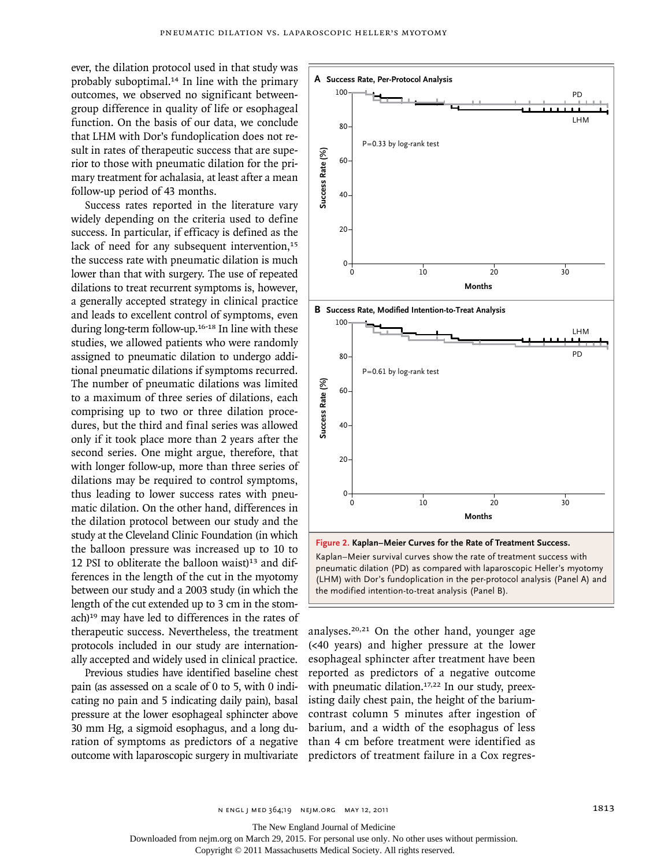ever, the dilation protocol used in that study was probably suboptimal.14 In line with the primary outcomes, we observed no significant betweengroup difference in quality of life or esophageal function. On the basis of our data, we conclude that LHM with Dor's fundoplication does not result in rates of therapeutic success that are superior to those with pneumatic dilation for the primary treatment for achalasia, at least after a mean follow-up period of 43 months.

Success rates reported in the literature vary widely depending on the criteria used to define success. In particular, if efficacy is defined as the lack of need for any subsequent intervention,<sup>15</sup> the success rate with pneumatic dilation is much lower than that with surgery. The use of repeated dilations to treat recurrent symptoms is, however, a generally accepted strategy in clinical practice and leads to excellent control of symptoms, even during long-term follow-up.16-18 In line with these studies, we allowed patients who were randomly assigned to pneumatic dilation to undergo additional pneumatic dilations if symptoms recurred. The number of pneumatic dilations was limited to a maximum of three series of dilations, each comprising up to two or three dilation procedures, but the third and final series was allowed only if it took place more than 2 years after the second series. One might argue, therefore, that with longer follow-up, more than three series of dilations may be required to control symptoms, thus leading to lower success rates with pneumatic dilation. On the other hand, differences in the dilation protocol between our study and the study at the Cleveland Clinic Foundation (in which the balloon pressure was increased up to 10 to 12 PSI to obliterate the balloon waist $1<sup>13</sup>$  and differences in the length of the cut in the myotomy between our study and a 2003 study (in which the length of the cut extended up to 3 cm in the stomach)19 may have led to differences in the rates of therapeutic success. Nevertheless, the treatment protocols included in our study are internationally accepted and widely used in clinical practice.

Previous studies have identified baseline chest pain (as assessed on a scale of 0 to 5, with 0 indicating no pain and 5 indicating daily pain), basal pressure at the lower esophageal sphincter above 30 mm Hg, a sigmoid esophagus, and a long duration of symptoms as predictors of a negative outcome with laparoscopic surgery in multivariate

![](_page_6_Figure_4.jpeg)

analyses.20,21 On the other hand, younger age (<40 years) and higher pressure at the lower esophageal sphincter after treatment have been reported as predictors of a negative outcome with pneumatic dilation.<sup>17,22</sup> In our study, preexisting daily chest pain, the height of the bariumcontrast column 5 minutes after ingestion of barium, and a width of the esophagus of less than 4 cm before treatment were identified as

n engl j med 364;19 nejm.org may 12, 2011 1813

The New England Journal of Medicine

Downloaded from nejm.org on March 29, 2015. For personal use only. No other uses without permission.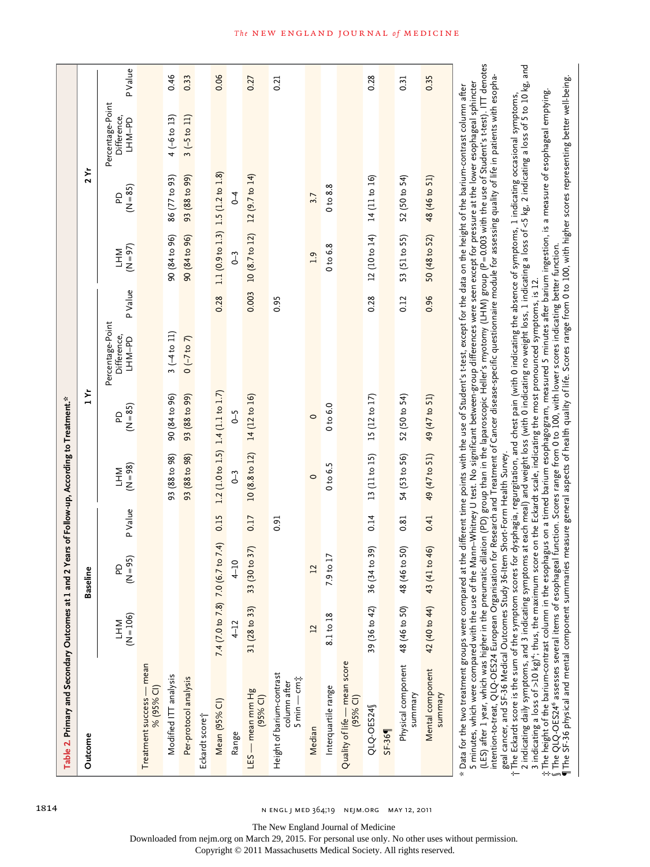| Outcome                                                  |                           | ۱e<br>Baseli                      |         |                          | ٦Yr                    |                                           |         |                                   | 7 Yr            |                                           |         |
|----------------------------------------------------------|---------------------------|-----------------------------------|---------|--------------------------|------------------------|-------------------------------------------|---------|-----------------------------------|-----------------|-------------------------------------------|---------|
|                                                          | $(N = 106)$<br><b>NHT</b> | $= 95$<br>G<br>ξ                  | P Value | $(N = 98)$<br><b>NHT</b> | $(N = 85)$<br><b>Q</b> | Percentage-Point<br>Difference,<br>LHM-PD | P Value | $(N = 97)$<br><b>NHT</b>          | $(N = 85)$<br>6 | Percentage-Point<br>Difference,<br>LHM-PD | P Value |
| Treatment success - mean<br>% (95% CI)                   |                           |                                   |         |                          |                        |                                           |         |                                   |                 |                                           |         |
| Modified ITT analysis                                    |                           |                                   |         | 93 (88 to 98)            | 90 (84 to 96)          | $3(-4 to 11)$                             |         | 90 (84 to 96)                     | 86 (77 to 93)   | $4 (-6 to 13)$                            | 0.46    |
| Per-protocol analysis                                    |                           |                                   |         | 93 (88 to 98)            | 93 (88 to 99)          | $0 (-7 to 7)$                             |         | 90 (84 to 96)                     | 93 (88 to 99)   | $3(-5 \text{ to } 11)$                    | 0.33    |
| Eckardt score†                                           |                           |                                   |         |                          |                        |                                           |         |                                   |                 |                                           |         |
| Mean (95% CI)                                            |                           | 7.4 (7.0 to 7.8) 7.0 (6.7 to 7.4) | 0.15    | $1.2$ (1.0 to 1.5)       | 1.4(1.1 to 1.7)        |                                           | 0.28    | 1.1 (0.9 to 1.3) 1.5 (1.2 to 1.8) |                 |                                           | 0.06    |
| Range                                                    | $4 - 12$                  | $\overline{10}$                   |         | $0 - 3$                  | J<br>J                 |                                           |         | $0 - 3$                           | $\overline{1}$  |                                           |         |
| LES — mean mm Hg<br>(95% CI)                             | 31 (28 to 33)             | 33 (30 to 37)                     | 0.17    | 10 (8.8 to 12)           | 14 (12 to 16)          |                                           | 0.003   | 10 (8.7 to 12)                    | 12 (9.7 to 14)  |                                           | 0.27    |
| Height of barium-contrast<br>5 min — cm‡<br>column after |                           |                                   | 0.91    |                          |                        |                                           | 0.95    |                                   |                 |                                           | 0.21    |
| Median                                                   | $\mathbf{L}$              | 12                                |         | $\circ$                  | $\circ$                |                                           |         | $\overline{1.9}$                  | 3.7             |                                           |         |
| Interquartile range                                      | 8.1 to 18                 | $\frac{17}{10}$<br>$\overline{2}$ |         | 0 to 6.5                 | $0 t$ 6.0              |                                           |         | 0 <sub>to</sub> 6.8               | 0 to 8.8        |                                           |         |
| Quality of life - mean score<br>(95% Cl)                 |                           |                                   |         |                          |                        |                                           |         |                                   |                 |                                           |         |
| QLQ-OES24                                                | 39 (36 to 42)             | (65014)<br>36 <sub>(3)</sub>      | 0.14    | 13 (11 to 15)            | 15 (12 to 17)          |                                           | 0.28    | 12 (10 to 14)                     | 14 (11 to 16)   |                                           | 0.28    |
| $SF-369$                                                 |                           |                                   |         |                          |                        |                                           |         |                                   |                 |                                           |         |
| Physical component<br>summary                            | 48 (46 to 50)             | 6 to 50<br>48 (4                  | 0.81    | 54 (53 to 56)            | 52 (50 to 54)          |                                           | 0.12    | 53 (51 to 55)                     | 52 (50 to 54)   |                                           | 0.31    |
| Mental component<br>summary                              | 42 (40 to 44)             | 43 (41 to 46)                     | 0.41    | 49 (47 to 51)            | 49 (47 to 51)          |                                           | 0.96    | 50 (48 to 52)                     | 48 (46 to 51)   |                                           | 0.35    |

The New England Journal of Medicine

Downloaded from nejm.org on March 29, 2015. For personal use only. No other uses without permission.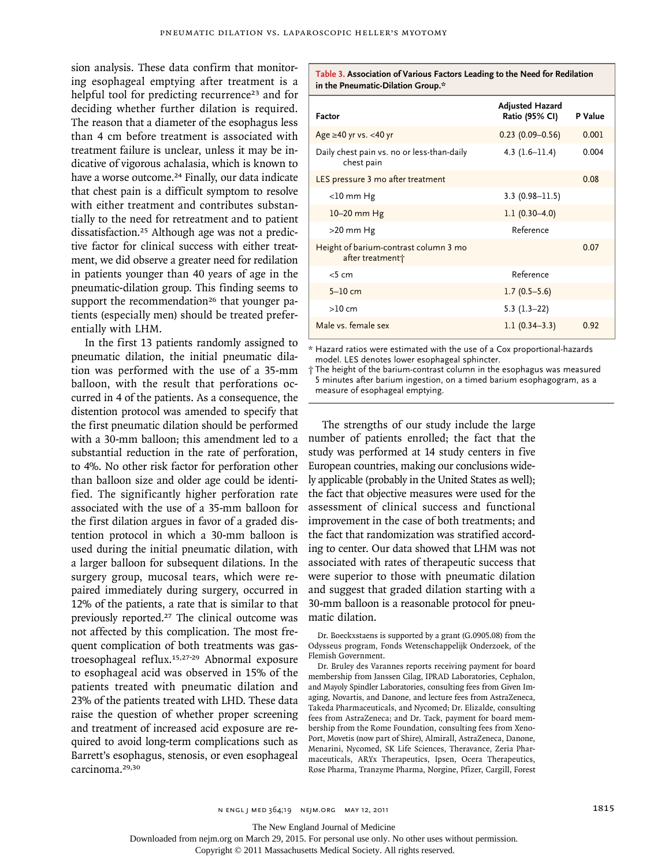sion analysis. These data confirm that monitoring esophageal emptying after treatment is a helpful tool for predicting recurrence<sup>23</sup> and for deciding whether further dilation is required. The reason that a diameter of the esophagus less than 4 cm before treatment is associated with treatment failure is unclear, unless it may be indicative of vigorous achalasia, which is known to have a worse outcome.<sup>24</sup> Finally, our data indicate that chest pain is a difficult symptom to resolve with either treatment and contributes substantially to the need for retreatment and to patient dissatisfaction.25 Although age was not a predictive factor for clinical success with either treatment, we did observe a greater need for redilation in patients younger than 40 years of age in the pneumatic-dilation group. This finding seems to support the recommendation<sup>26</sup> that younger patients (especially men) should be treated preferentially with LHM.

In the first 13 patients randomly assigned to pneumatic dilation, the initial pneumatic dilation was performed with the use of a 35-mm balloon, with the result that perforations occurred in 4 of the patients. As a consequence, the distention protocol was amended to specify that the first pneumatic dilation should be performed with a 30-mm balloon; this amendment led to a substantial reduction in the rate of perforation, to 4%. No other risk factor for perforation other than balloon size and older age could be identified. The significantly higher perforation rate associated with the use of a 35-mm balloon for the first dilation argues in favor of a graded distention protocol in which a 30-mm balloon is used during the initial pneumatic dilation, with a larger balloon for subsequent dilations. In the surgery group, mucosal tears, which were repaired immediately during surgery, occurred in 12% of the patients, a rate that is similar to that previously reported.27 The clinical outcome was not affected by this complication. The most frequent complication of both treatments was gastroesophageal reflux.15,27-29 Abnormal exposure to esophageal acid was observed in 15% of the patients treated with pneumatic dilation and 23% of the patients treated with LHD. These data raise the question of whether proper screening and treatment of increased acid exposure are required to avoid long-term complications such as Barrett's esophagus, stenosis, or even esophageal carcinoma.29,30

**Table 3. Association of Various Factors Leading to the Need for Redilation in the Pneumatic-Dilation Group.\***

| Factor                                                                | <b>Adjusted Hazard</b><br>Ratio (95% CI) | P Value |
|-----------------------------------------------------------------------|------------------------------------------|---------|
| Age $\geq$ 40 yr vs. <40 yr                                           | $0.23(0.09 - 0.56)$                      | 0.001   |
| Daily chest pain vs. no or less-than-daily<br>chest pain              | 4.3 $(1.6–11.4)$                         | 0.004   |
| LES pressure 3 mo after treatment                                     |                                          | 0.08    |
| $<$ 10 mm Hg                                                          | $3.3(0.98 - 11.5)$                       |         |
| 10-20 mm Hg                                                           | $1.1(0.30-4.0)$                          |         |
| $>20$ mm Hg                                                           | Reference                                |         |
| Height of barium-contrast column 3 mo<br>after treatment <sup>+</sup> |                                          | 0.07    |
| $<$ 5 cm                                                              | Reference                                |         |
| $5-10$ cm                                                             | $1.7(0.5-5.6)$                           |         |
| >10 cm                                                                | $5.3(1.3-22)$                            |         |
| Male vs. female sex                                                   | $1.1(0.34-3.3)$                          | 0.92    |

\* Hazard ratios were estimated with the use of a Cox proportional-hazards model. LES denotes lower esophageal sphincter.

† The height of the barium-contrast column in the esophagus was measured 5 minutes after barium ingestion, on a timed barium esophagogram, as a measure of esophageal emptying.

The strengths of our study include the large number of patients enrolled; the fact that the study was performed at 14 study centers in five European countries, making our conclusions widely applicable (probably in the United States as well); the fact that objective measures were used for the assessment of clinical success and functional improvement in the case of both treatments; and the fact that randomization was stratified according to center. Our data showed that LHM was not associated with rates of therapeutic success that were superior to those with pneumatic dilation and suggest that graded dilation starting with a 30-mm balloon is a reasonable protocol for pneumatic dilation.

Dr. Boeckxstaens is supported by a grant (G.0905.08) from the Odysseus program, Fonds Wetenschappelijk Onderzoek, of the Flemish Government.

Dr. Bruley des Varannes reports receiving payment for board membership from Janssen Cilag, IPRAD Laboratories, Cephalon, and Mayoly Spindler Laboratories, consulting fees from Given Imaging, Novartis, and Danone, and lecture fees from AstraZeneca, Takeda Pharmaceuticals, and Nycomed; Dr. Elizalde, consulting fees from AstraZeneca; and Dr. Tack, payment for board membership from the Rome Foundation, consulting fees from Xeno-Port, Movetis (now part of Shire), Almirall, AstraZeneca, Danone, Menarini, Nycomed, SK Life Sciences, Theravance, Zeria Pharmaceuticals, ARYx Therapeutics, Ipsen, Ocera Therapeutics, Rose Pharma, Tranzyme Pharma, Norgine, Pfizer, Cargill, Forest

The New England Journal of Medicine

Downloaded from nejm.org on March 29, 2015. For personal use only. No other uses without permission.